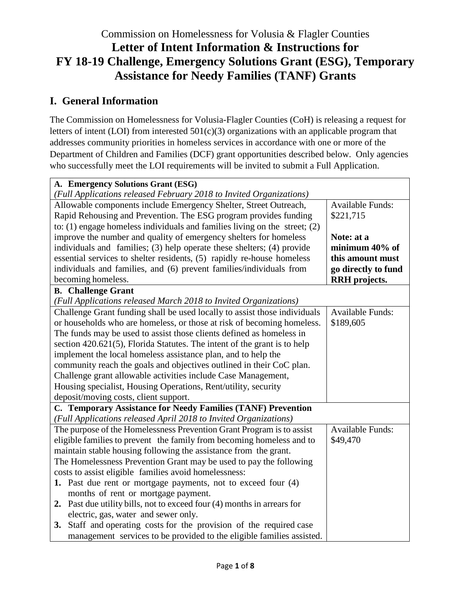# Commission on Homelessness for Volusia & Flagler Counties **Letter of Intent Information & Instructions for FY 18-19 Challenge, Emergency Solutions Grant (ESG), Temporary Assistance for Needy Families (TANF) Grants**

# **I. General Information**

The Commission on Homelessness for Volusia-Flagler Counties (CoH) is releasing a request for letters of intent (LOI) from interested 501(c)(3) organizations with an applicable program that addresses community priorities in homeless services in accordance with one or more of the Department of Children and Families (DCF) grant opportunities described below. Only agencies who successfully meet the LOI requirements will be invited to submit a Full Application.

| A. Emergency Solutions Grant (ESG)                                             |                         |
|--------------------------------------------------------------------------------|-------------------------|
| (Full Applications released February 2018 to Invited Organizations)            |                         |
| Allowable components include Emergency Shelter, Street Outreach,               | <b>Available Funds:</b> |
| Rapid Rehousing and Prevention. The ESG program provides funding               | \$221,715               |
| to: $(1)$ engage homeless individuals and families living on the street; $(2)$ |                         |
| improve the number and quality of emergency shelters for homeless              | Note: at a              |
| individuals and families; (3) help operate these shelters; (4) provide         | minimum 40% of          |
| essential services to shelter residents, (5) rapidly re-house homeless         | this amount must        |
| individuals and families, and (6) prevent families/individuals from            | go directly to fund     |
| becoming homeless.                                                             | <b>RRH</b> projects.    |
| <b>B.</b> Challenge Grant                                                      |                         |
| (Full Applications released March 2018 to Invited Organizations)               |                         |
| Challenge Grant funding shall be used locally to assist those individuals      | <b>Available Funds:</b> |
| or households who are homeless, or those at risk of becoming homeless.         | \$189,605               |
| The funds may be used to assist those clients defined as homeless in           |                         |
| section $420.621(5)$ , Florida Statutes. The intent of the grant is to help    |                         |
| implement the local homeless assistance plan, and to help the                  |                         |
| community reach the goals and objectives outlined in their CoC plan.           |                         |
| Challenge grant allowable activities include Case Management,                  |                         |
| Housing specialist, Housing Operations, Rent/utility, security                 |                         |
| deposit/moving costs, client support.                                          |                         |
| C. Temporary Assistance for Needy Families (TANF) Prevention                   |                         |
| (Full Applications released April 2018 to Invited Organizations)               |                         |
| The purpose of the Homelessness Prevention Grant Program is to assist          | <b>Available Funds:</b> |
| eligible families to prevent the family from becoming homeless and to          | \$49,470                |
| maintain stable housing following the assistance from the grant.               |                         |
| The Homelessness Prevention Grant may be used to pay the following             |                         |
| costs to assist eligible families avoid homelessness:                          |                         |
| 1. Past due rent or mortgage payments, not to exceed four (4)                  |                         |
| months of rent or mortgage payment.                                            |                         |
| 2. Past due utility bills, not to exceed four (4) months in arrears for        |                         |
| electric, gas, water and sewer only.                                           |                         |
| 3. Staff and operating costs for the provision of the required case            |                         |
| management services to be provided to the eligible families assisted.          |                         |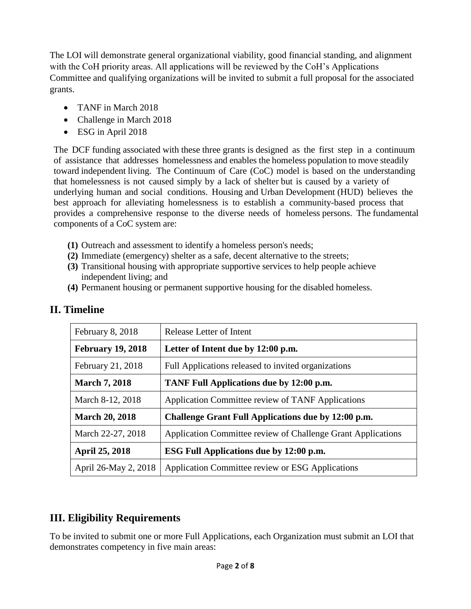The LOI will demonstrate general organizational viability, good financial standing, and alignment with the CoH priority areas. All applications will be reviewed by the CoH's Applications Committee and qualifying organizations will be invited to submit a full proposal for the associated grants.

- TANF in March 2018
- Challenge in March 2018
- ESG in April 2018

The DCF funding associated with these three grants is designed as the first step in a continuum of assistance that addresses homelessness and enables the homeless population to move steadily toward independent living. The Continuum of Care (CoC) model is based on the understanding that homelessness is not caused simply by a lack of shelter but is caused by a variety of underlying human and social conditions. Housing and Urban Development (HUD) believes the best approach for alleviating homelessness is to establish a community-based process that provides a comprehensive response to the diverse needs of homeless persons. The fundamental components of a CoC system are:

- **(1)** Outreach and assessment to identify a homeless person's needs;
- **(2)** Immediate (emergency) shelter as a safe, decent alternative to the streets;
- **(3)** Transitional housing with appropriate supportive services to help people achieve independent living; and
- **(4)** Permanent housing or permanent supportive housing for the disabled homeless.

| February 8, 2018         | Release Letter of Intent                                     |  |
|--------------------------|--------------------------------------------------------------|--|
| <b>February 19, 2018</b> | Letter of Intent due by 12:00 p.m.                           |  |
| February 21, 2018        | Full Applications released to invited organizations          |  |
| <b>March 7, 2018</b>     | TANF Full Applications due by 12:00 p.m.                     |  |
| March 8-12, 2018         | Application Committee review of TANF Applications            |  |
| <b>March 20, 2018</b>    | Challenge Grant Full Applications due by 12:00 p.m.          |  |
| March 22-27, 2018        | Application Committee review of Challenge Grant Applications |  |
| <b>April 25, 2018</b>    | ESG Full Applications due by 12:00 p.m.                      |  |
| April 26-May 2, 2018     | Application Committee review or ESG Applications             |  |

# **II. Timeline**

# **III. Eligibility Requirements**

To be invited to submit one or more Full Applications, each Organization must submit an LOI that demonstrates competency in five main areas: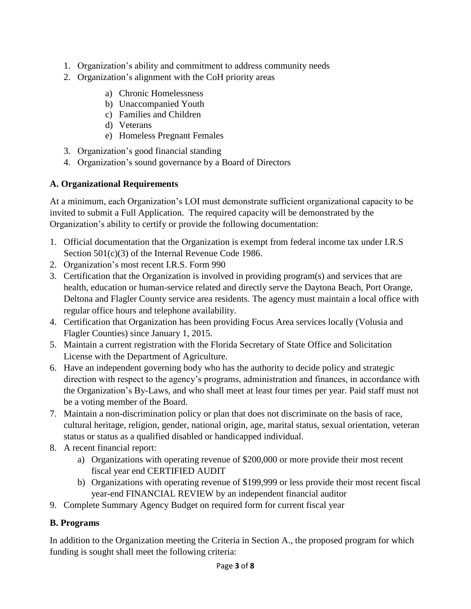- 1. Organization's ability and commitment to address community needs
- 2. Organization's alignment with the CoH priority areas
	- a) Chronic Homelessness
	- b) Unaccompanied Youth
	- c) Families and Children
	- d) Veterans
	- e) Homeless Pregnant Females
- 3. Organization's good financial standing
- 4. Organization's sound governance by a Board of Directors

## **A. Organizational Requirements**

At a minimum, each Organization's LOI must demonstrate sufficient organizational capacity to be invited to submit a Full Application. The required capacity will be demonstrated by the Organization's ability to certify or provide the following documentation:

- 1. Official documentation that the Organization is exempt from federal income tax under I.R.S Section 501(c)(3) of the Internal Revenue Code 1986.
- 2. Organization's most recent I.R.S. Form 990
- 3. Certification that the Organization is involved in providing program(s) and services that are health, education or human-service related and directly serve the Daytona Beach, Port Orange, Deltona and Flagler County service area residents. The agency must maintain a local office with regular office hours and telephone availability.
- 4. Certification that Organization has been providing Focus Area services locally (Volusia and Flagler Counties) since January 1, 2015.
- 5. Maintain a current registration with the Florida Secretary of State Office and Solicitation License with the Department of Agriculture.
- 6. Have an independent governing body who has the authority to decide policy and strategic direction with respect to the agency's programs, administration and finances, in accordance with the Organization's By-Laws, and who shall meet at least four times per year. Paid staff must not be a voting member of the Board.
- 7. Maintain a non-discrimination policy or plan that does not discriminate on the basis of race, cultural heritage, religion, gender, national origin, age, marital status, sexual orientation, veteran status or status as a qualified disabled or handicapped individual.
- 8. A recent financial report:
	- a) Organizations with operating revenue of \$200,000 or more provide their most recent fiscal year end CERTIFIED AUDIT
	- b) Organizations with operating revenue of \$199,999 or less provide their most recent fiscal year-end FINANCIAL REVIEW by an independent financial auditor
- 9. Complete Summary Agency Budget on required form for current fiscal year

# **B. Programs**

In addition to the Organization meeting the Criteria in Section A., the proposed program for which funding is sought shall meet the following criteria: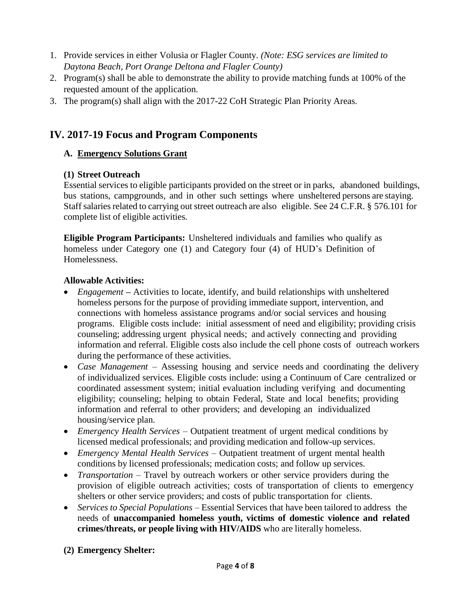- 1. Provide services in either Volusia or Flagler County. *(Note: ESG services are limited to Daytona Beach, Port Orange Deltona and Flagler County)*
- 2. Program(s) shall be able to demonstrate the ability to provide matching funds at 100% of the requested amount of the application.
- 3. The program(s) shall align with the 2017-22 CoH Strategic Plan Priority Areas.

# **IV. 2017-19 Focus and Program Components**

## **A. Emergency Solutions Grant**

#### **(1) Street Outreach**

Essential services to eligible participants provided on the street or in parks, abandoned buildings, bus stations, campgrounds, and in other such settings where unsheltered persons are staying. Staff salaries related to carrying out street outreach are also eligible. See 24 C.F.R. § 576.101 for complete list of eligible activities.

**Eligible Program Participants:** Unsheltered individuals and families who qualify as homeless under Category one (1) and Category four (4) of HUD's Definition of Homelessness.

#### **Allowable Activities:**

- *Engagement* Activities to locate, identify, and build relationships with unsheltered homeless persons for the purpose of providing immediate support, intervention, and connections with homeless assistance programs and/or social services and housing programs. Eligible costs include: initial assessment of need and eligibility; providing crisis counseling; addressing urgent physical needs; and actively connecting and providing information and referral. Eligible costs also include the cell phone costs of outreach workers during the performance of these activities.
- *Case Management* Assessing housing and service needs and coordinating the delivery of individualized services. Eligible costs include: using a Continuum of Care centralized or coordinated assessment system; initial evaluation including verifying and documenting eligibility; counseling; helping to obtain Federal, State and local benefits; providing information and referral to other providers; and developing an individualized housing/service plan.
- *Emergency Health Services* Outpatient treatment of urgent medical conditions by licensed medical professionals; and providing medication and follow-up services.
- *Emergency Mental Health Services* Outpatient treatment of urgent mental health conditions by licensed professionals; medication costs; and follow up services.
- *Transportation* Travel by outreach workers or other service providers during the provision of eligible outreach activities; costs of transportation of clients to emergency shelters or other service providers; and costs of public transportation for clients.
- *Services to Special Populations* Essential Services that have been tailored to address the needs of **unaccompanied homeless youth, victims of domestic violence and related crimes/threats, or people living with HIV/AIDS** who are literally homeless.

## **(2) Emergency Shelter:**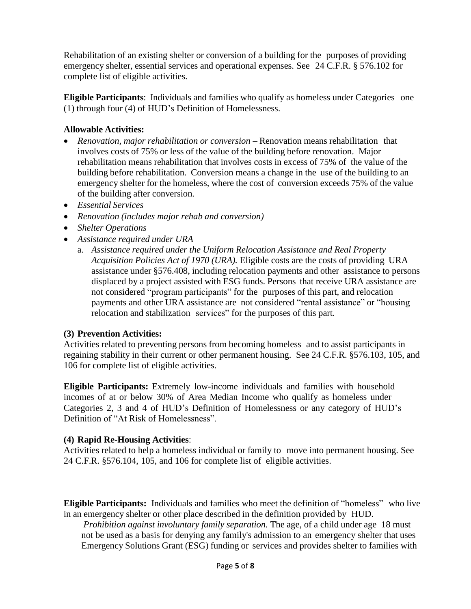Rehabilitation of an existing shelter or conversion of a building for the purposes of providing emergency shelter, essential services and operational expenses. See 24 C.F.R. § 576.102 for complete list of eligible activities.

**Eligible Participants**: Individuals and families who qualify as homeless under Categories one (1) through four (4) of HUD's Definition of Homelessness.

#### **Allowable Activities:**

- *Renovation, major rehabilitation or conversion*  Renovation means rehabilitation that involves costs of 75% or less of the value of the building before renovation. Major rehabilitation means rehabilitation that involves costs in excess of 75% of the value of the building before rehabilitation. Conversion means a change in the use of the building to an emergency shelter for the homeless, where the cost of conversion exceeds 75% of the value of the building after conversion.
- *Essential Services*
- *Renovation (includes major rehab and conversion)*
- *Shelter Operations*
- *Assistance required under URA*
	- a. *Assistance required under the Uniform Relocation Assistance and Real Property Acquisition Policies Act of 1970 (URA).* Eligible costs are the costs of providing URA assistance under §576.408, including relocation payments and other assistance to persons displaced by a project assisted with ESG funds. Persons that receive URA assistance are not considered "program participants" for the purposes of this part, and relocation payments and other URA assistance are not considered "rental assistance" or "housing relocation and stabilization services" for the purposes of this part.

#### **(3) Prevention Activities:**

Activities related to preventing persons from becoming homeless and to assist participants in regaining stability in their current or other permanent housing. See 24 C.F.R. §576.103, 105, and 106 for complete list of eligible activities.

**Eligible Participants:** Extremely low-income individuals and families with household incomes of at or below 30% of Area Median Income who qualify as homeless under Categories 2, 3 and 4 of HUD's Definition of Homelessness or any category of HUD's Definition of "At Risk of Homelessness".

#### **(4) Rapid Re-Housing Activities**:

Activities related to help a homeless individual or family to move into permanent housing. See 24 C.F.R. §576.104, 105, and 106 for complete list of eligible activities.

**Eligible Participants:** Individuals and families who meet the definition of "homeless" who live in an emergency shelter or other place described in the definition provided by HUD.

*Prohibition against involuntary family separation.* The age, of a child under age 18 must not be used as a basis for denying any family's admission to an emergency shelter that uses Emergency Solutions Grant (ESG) funding or services and provides shelter to families with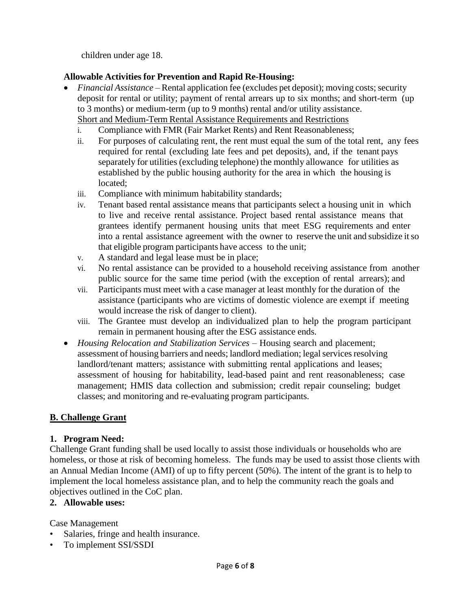children under age 18.

## **Allowable Activities for Prevention and Rapid Re-Housing:**

- *Financial Assistance* Rental application fee (excludes pet deposit); moving costs; security deposit for rental or utility; payment of rental arrears up to six months; and short-term (up to 3 months) or medium-term (up to 9 months) rental and/or utility assistance. Short and Medium-Term Rental Assistance Requirements and Restrictions
	- i. Compliance with FMR (Fair Market Rents) and Rent Reasonableness;
	- ii. For purposes of calculating rent, the rent must equal the sum of the total rent, any fees required for rental (excluding late fees and pet deposits), and, if the tenant pays separately for utilities (excluding telephone) the monthly allowance for utilities as established by the public housing authority for the area in which the housing is located;
	- iii. Compliance with minimum habitability standards;
	- iv. Tenant based rental assistance means that participants select a housing unit in which to live and receive rental assistance. Project based rental assistance means that grantees identify permanent housing units that meet ESG requirements and enter into a rental assistance agreement with the owner to reserve the unit and subsidize itso that eligible program participants have access to the unit;
	- v. A standard and legal lease must be in place;
	- vi. No rental assistance can be provided to a household receiving assistance from another public source for the same time period (with the exception of rental arrears); and
	- vii. Participants must meet with a case manager at least monthly for the duration of the assistance (participants who are victims of domestic violence are exempt if meeting would increase the risk of danger to client).
	- viii. The Grantee must develop an individualized plan to help the program participant remain in permanent housing after the ESG assistance ends.
- *Housing Relocation and Stabilization Services* Housing search and placement; assessment of housing barriers and needs; landlord mediation; legal services resolving landlord/tenant matters; assistance with submitting rental applications and leases; assessment of housing for habitability, lead-based paint and rent reasonableness; case management; HMIS data collection and submission; credit repair counseling; budget classes; and monitoring and re-evaluating program participants.

## **B. Challenge Grant**

## **1. Program Need:**

Challenge Grant funding shall be used locally to assist those individuals or households who are homeless, or those at risk of becoming homeless. The funds may be used to assist those clients with an Annual Median Income (AMI) of up to fifty percent (50%). The intent of the grant is to help to implement the local homeless assistance plan, and to help the community reach the goals and objectives outlined in the CoC plan.

## **2. Allowable uses:**

Case Management

- Salaries, fringe and health insurance.
- To implement SSI/SSDI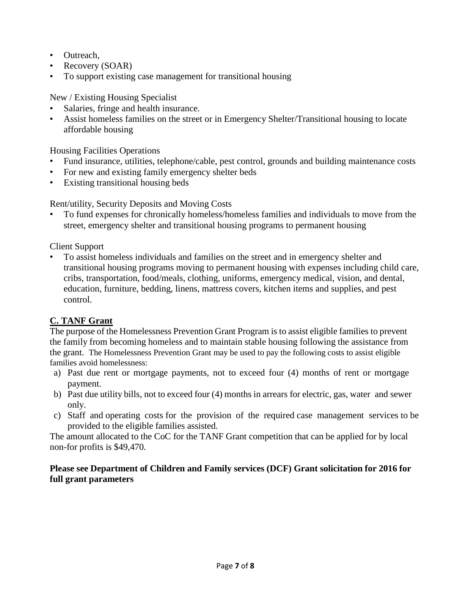- Outreach,
- Recovery (SOAR)
- To support existing case management for transitional housing

New / Existing Housing Specialist

- Salaries, fringe and health insurance.
- Assist homeless families on the street or in Emergency Shelter/Transitional housing to locate affordable housing

Housing Facilities Operations

- Fund insurance, utilities, telephone/cable, pest control, grounds and building maintenance costs
- For new and existing family emergency shelter beds
- Existing transitional housing beds

Rent/utility, Security Deposits and Moving Costs

• To fund expenses for chronically homeless/homeless families and individuals to move from the street, emergency shelter and transitional housing programs to permanent housing

Client Support

• To assist homeless individuals and families on the street and in emergency shelter and transitional housing programs moving to permanent housing with expenses including child care, cribs, transportation, food/meals, clothing, uniforms, emergency medical, vision, and dental, education, furniture, bedding, linens, mattress covers, kitchen items and supplies, and pest control.

## **C. TANF Grant**

The purpose of the Homelessness Prevention Grant Program is to assist eligible families to prevent the family from becoming homeless and to maintain stable housing following the assistance from the grant. The Homelessness Prevention Grant may be used to pay the following costs to assist eligible families avoid homelessness:

- a) Past due rent or mortgage payments, not to exceed four (4) months of rent or mortgage payment.
- b) Past due utility bills, not to exceed four (4) months in arrears for electric, gas, water and sewer only.
- c) Staff and operating costs for the provision of the required case management services to be provided to the eligible families assisted.

The amount allocated to the CoC for the TANF Grant competition that can be applied for by local non-for profits is \$49,470.

#### **Please see Department of Children and Family services (DCF) Grant solicitation for 2016 for full grant parameters**